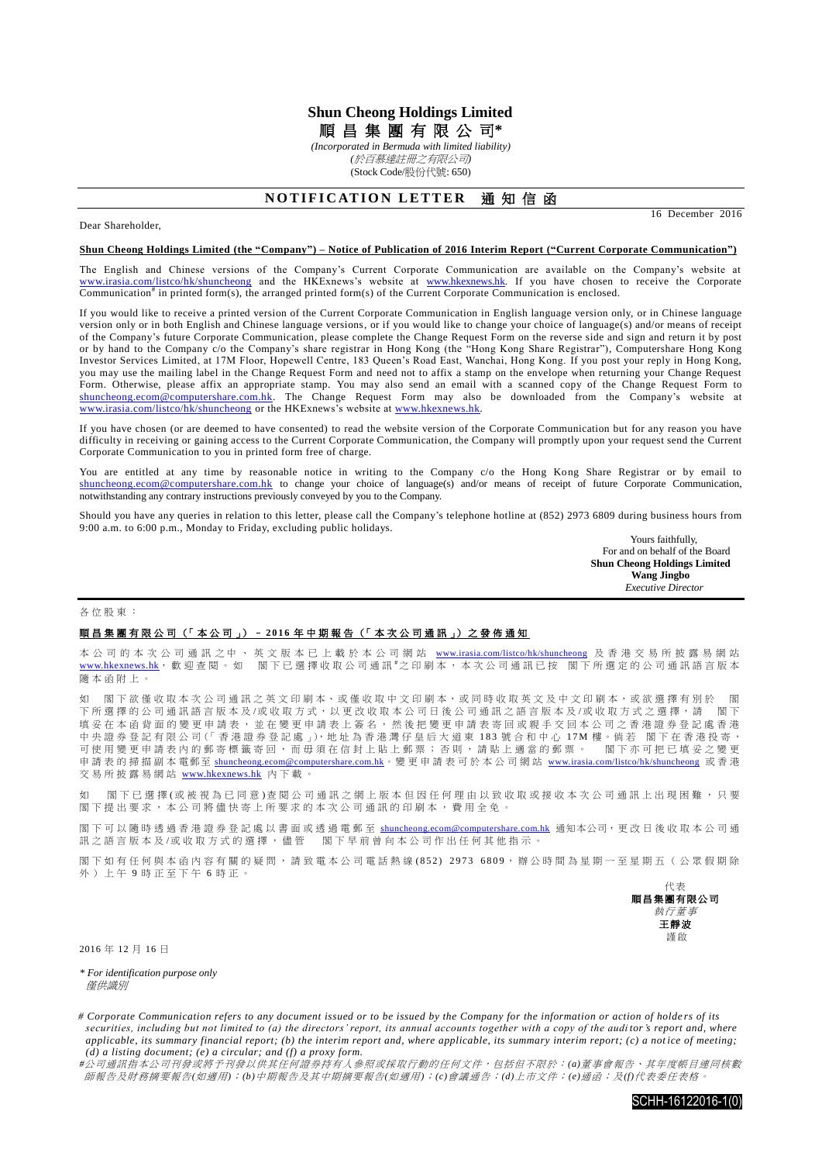# **Shun Cheong Holdings Limited**

順 昌 集 團 有 限 公 司**\***

*(Incorporated in Bermuda with limited liability) (*於百慕達註冊之有限公司*)* (Stock Code/股份代號: 650)

## **NOTIFICATION LETTER 通知信函**

Dear Shareholder,

16 December 2016

#### **Shun Cheong Holdings Limited (the "Company") – Notice of Publication of 2016 Interim Report ("Current Corporate Communication")**

The English and Chinese versions of the Company's Current Corporate Communication are available on the Company's website at [www.irasia.com/listco/hk/shuncheong](http://www.irasia.com/listco/hk/shuncheong) and the HKExnews's website at [www.hkexnews.hk.](http://www.hkexnews.hk/) If you have chosen to receive the Corporate Communication<sup>#</sup> in printed form(s), the arranged printed form(s) of the Current Corporate Communication is enclosed.

If you would like to receive a printed version of the Current Corporate Communication in English language version only, or in Chinese language version only or in both English and Chinese language versions, or if you would like to change your choice of language(s) and/or means of receipt of the Company's future Corporate Communication, please complete the Change Request Form on the reverse side and sign and return it by post or by hand to the Company c/o the Company's share registrar in Hong Kong (the "Hong Kong Share Registrar"), Computershare Hong Kong Investor Services Limited, at 17M Floor, Hopewell Centre, 183 Queen's Road East, Wanchai, Hong Kong. If you post your reply in Hong Kong, you may use the mailing label in the Change Request Form and need not to affix a stamp on the envelope when returning your Change Request Form. Otherwise, please affix an appropriate stamp. You may also send an email with a scanned copy of the Change Request Form to [shuncheong.ecom@computershare.com.hk.](mailto:shuncheong.ecom@computershare.com.hk) The Change Request Form may also be downloaded from the Company's website at [www.irasia.com/listco/hk/shuncheong](http://www.irasia.com/listco/hk/shuncheong) or the HKExnews's website at www.hkexnews.hk

If you have chosen (or are deemed to have consented) to read the website version of the Corporate Communication but for any reason you have difficulty in receiving or gaining access to the Current Corporate Communication, the Company will promptly upon your request send the Current Corporate Communication to you in printed form free of charge.

You are entitled at any time by reasonable notice in writing to the Company c/o the Hong Kong Share Registrar or by email to [shuncheong.ecom@computershare.com.hk](mailto:shuncheong.ecom@computershare.com.hk) to change your choice of language(s) and/or means of receipt of future Corporate Communication, notwithstanding any contrary instructions previously conveyed by you to the Company.

Should you have any queries in relation to this letter, please call the Company's telephone hotline at (852) 2973 6809 during business hours from 9:00 a.m. to 6:00 p.m., Monday to Friday, excluding public holidays.

Yours faithfully, For and on behalf of the Board **Shun Cheong Holdings Limited Wang Jingbo**  *Executive Director*

#### 各位股東 :

### 順昌集團有限公司 (「本公司」) - 2016年中期報告 (「本次公司通訊」) 之 發 佈 通 知

本 公 司 的 本 次 公 司 通 訊 之 中 、 英 文 版 本 已 上 載 於 本 公 司 網 站 [www.irasia.com/listco/hk/shuncheong](http://www.irasia.com/listco/hk/shuncheong) 及 香 港 交 易 所 披 露 易 網 站 [www.hkexnews.hk](http://www.hkexnews.hk/), 歡 迎 查 閱 。 如 閣 下 已 選 擇 收 取 公 司 通 訊 <sup>#</sup>之 印 刷 本 , 本 次 公 司 通 訊 已 按 閣 下 所 選 定 的 公 司 通 訊 語 言 版 本 隨本函附上 。

如 閣下欲僅收取本次公司通訊之英文印刷本、或僅收取中文印刷本,或同時收取英文及中文印刷本,或欲選擇有別於 閣 下所選擇的公司通訊語言版本及/或收取方式,以更改收取本公司日後公司通訊之語言版本及/或收取方式之選擇,請 閣下 填妥 在 本 函 背 面 的 變 更 申 請 表 , 並 在 變 更 申 請 表 上 簽 名 , 然 後 把 變 更 申 請 表 寄 回 或 親 手 交 回 本 公 司 之 香 港 證 券 登 記 處 香 港 中央證券登記有限公司(「香港證券登記處」),地址為香港灣仔皇后大道東 183 號合和中心 17M 樓。倘若 閣下在香港投寄, 可使用 變更申請表 內 的 郵 寄 標 籤 寄 回 , 而 毋 須 在 信 封 上 貼 上 郵 票 ; 否 則 , 請 貼 上 適 當 的 郵 票 。 閣 下 亦 可 把 已 填 妥 之 變 更 申請表的掃描副本電郵至 [shuncheong.ecom@computershare.com.hk](mailto:shuncheong.ecom@computershare.com.hk)。變更申請表可於本公司網站 [www.irasia.com/listco/hk/shuncheong](http://www.irasia.com/listco/hk/shuncheong) 或香港 交易所披露易網站 [www.hkexnews.hk](http://www.hkexnews.hk/) 內下載。

如 閣下已選擇(或被視為已同意)查閱公司通訊之網上版本但因任何理由以致收取或接收本次公司通訊上出現困難,只要 閣下提出要求,本公司將儘快寄上所要求的本次公司通訊的印刷本,費用全免。

閣下可以隨時透過香港證券登記處以書面或透過電郵至 [shuncheong.ecom@computershare.com.hk](mailto:shuncheong.ecom@computershare.com.hk) 通知本公司,更改日後收取本公司通 訊之語言版本及/或收取方式的選擇,儘管 閣下早前曾向本公司作出任何其他指示。

閣下如 有 任 何 與 本 函 内 容 有 關 的 疑 問 , 請 致 電 本 公 司 電 話 熱 線 (852) 2973 6809 , 辦 公 時 間 為 星 期 一 至 星 期 五 ( 公 眾 假 期 除 外)上午9時正至下午6時正。



2016 年 12 月 16 日

*\* For identification purpose only* 僅供識別

*# Corporate Communication refers to any document issued or to be issued by the Company for the information or action of holde rs of its securities, including but not limited to (a) the directors' report, its annual accounts together with a copy of the audi tor's report and, where applicable, its summary financial report; (b) the interim report and, where applicable, its summary interim report; (c) a notice of meeting; (d) a listing document; (e) a circular; and (f) a proxy form.*

*#*公司通訊指本公司刊發或將予刊發以供其任何證券持有人參照或採取行動的任何文件,包括但不限於:*(a)*董事會報告、其年度帳目連同核數 師報告及財務摘要報告*(*如適用*)*;*(b)*中期報告及其中期摘要報告*(*如適用*)*;*(c)*會議通告;*(d)*上市文件;*(e)*通函;及*(f)*代表委任表格。